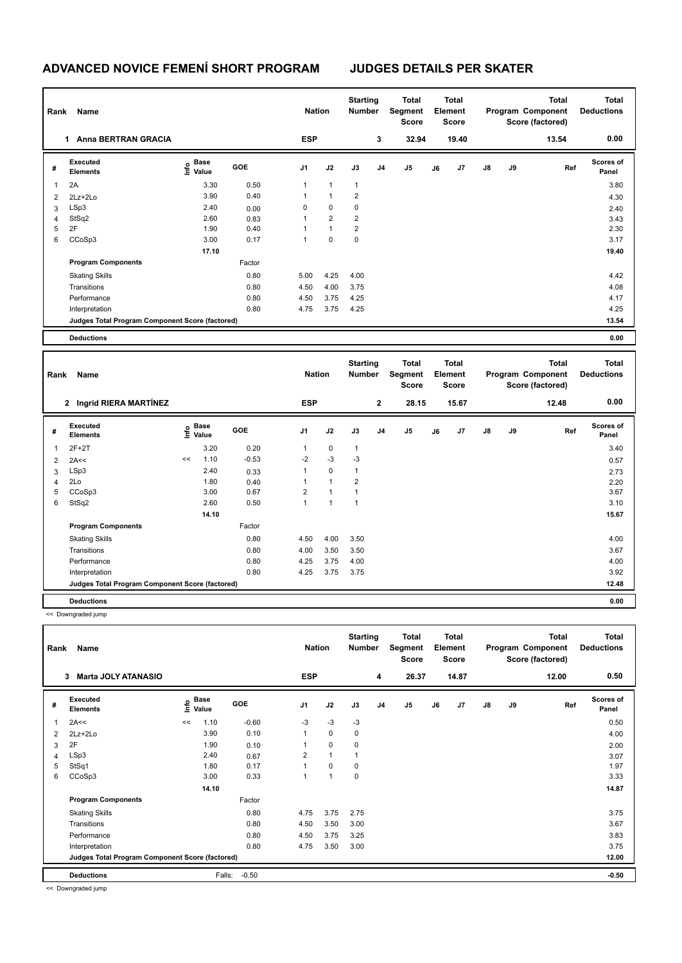## **ADVANCED NOVICE FEMENÍ SHORT PROGRAM JUDGES DETAILS PER SKATER**

| Rank | Name                                            |                        |            | <b>Nation</b>  |                | <b>Starting</b><br><b>Number</b> |                | <b>Total</b><br>Segment<br><b>Score</b> |    | <b>Total</b><br>Element<br>Score |               |    | <b>Total</b><br>Program Component<br>Score (factored) | Total<br><b>Deductions</b> |
|------|-------------------------------------------------|------------------------|------------|----------------|----------------|----------------------------------|----------------|-----------------------------------------|----|----------------------------------|---------------|----|-------------------------------------------------------|----------------------------|
|      | <b>Anna BERTRAN GRACIA</b><br>1.                |                        |            | <b>ESP</b>     |                |                                  | 3              | 32.94                                   |    | 19.40                            |               |    | 13.54                                                 | 0.00                       |
| #    | Executed<br><b>Elements</b>                     | $\sum_{i=1}^{n}$ Value | <b>GOE</b> | J <sub>1</sub> | J2             | J3                               | J <sub>4</sub> | J5                                      | J6 | J7                               | $\mathsf{J}8$ | J9 | Ref                                                   | <b>Scores of</b><br>Panel  |
| 1    | 2A                                              | 3.30                   | 0.50       | $\mathbf{1}$   | $\mathbf{1}$   | $\mathbf{1}$                     |                |                                         |    |                                  |               |    |                                                       | 3.80                       |
| 2    | 2Lz+2Lo                                         | 3.90                   | 0.40       | $\mathbf{1}$   | $\mathbf{1}$   | 2                                |                |                                         |    |                                  |               |    |                                                       | 4.30                       |
| 3    | LSp3                                            | 2.40                   | 0.00       | 0              | $\mathbf 0$    | $\mathbf 0$                      |                |                                         |    |                                  |               |    |                                                       | 2.40                       |
| 4    | StSq2                                           | 2.60                   | 0.83       | $\mathbf{1}$   | $\overline{2}$ | 2                                |                |                                         |    |                                  |               |    |                                                       | 3.43                       |
| 5    | 2F                                              | 1.90                   | 0.40       | 1              | $\mathbf{1}$   | $\overline{\mathbf{c}}$          |                |                                         |    |                                  |               |    |                                                       | 2.30                       |
| 6    | CCoSp3                                          | 3.00                   | 0.17       | $\mathbf{1}$   | $\mathbf 0$    | $\mathbf 0$                      |                |                                         |    |                                  |               |    |                                                       | 3.17                       |
|      |                                                 | 17.10                  |            |                |                |                                  |                |                                         |    |                                  |               |    |                                                       | 19.40                      |
|      | <b>Program Components</b>                       |                        | Factor     |                |                |                                  |                |                                         |    |                                  |               |    |                                                       |                            |
|      | <b>Skating Skills</b>                           |                        | 0.80       | 5.00           | 4.25           | 4.00                             |                |                                         |    |                                  |               |    |                                                       | 4.42                       |
|      | Transitions                                     |                        | 0.80       | 4.50           | 4.00           | 3.75                             |                |                                         |    |                                  |               |    |                                                       | 4.08                       |
|      | Performance                                     |                        | 0.80       | 4.50           | 3.75           | 4.25                             |                |                                         |    |                                  |               |    |                                                       | 4.17                       |
|      | Interpretation                                  |                        | 0.80       | 4.75           | 3.75           | 4.25                             |                |                                         |    |                                  |               |    |                                                       | 4.25                       |
|      | Judges Total Program Component Score (factored) |                        |            |                |                |                                  |                |                                         |    |                                  |               |    |                                                       | 13.54                      |
|      | <b>Deductions</b>                               |                        |            |                |                |                                  |                |                                         |    |                                  |               |    |                                                       | 0.00                       |

| Name<br>Rank |                                                 |    |                                  |            |                | <b>Nation</b>  |              | <b>Starting</b><br><b>Number</b> | <b>Total</b><br>Segment<br>Score | <b>Total</b><br>Element<br><b>Score</b> |       |               |    | Total<br>Program Component<br>Score (factored) | <b>Total</b><br><b>Deductions</b> |
|--------------|-------------------------------------------------|----|----------------------------------|------------|----------------|----------------|--------------|----------------------------------|----------------------------------|-----------------------------------------|-------|---------------|----|------------------------------------------------|-----------------------------------|
|              | 2 Ingrid RIERA MARTÍNEZ                         |    |                                  |            | <b>ESP</b>     |                |              | $\mathbf{2}$                     | 28.15                            |                                         | 15.67 |               |    | 12.48                                          | 0.00                              |
| #            | Executed<br><b>Elements</b>                     |    | <b>Base</b><br>e Base<br>⊆ Value | <b>GOE</b> | J <sub>1</sub> | J2             | J3           | J <sub>4</sub>                   | J5                               | J6                                      | J7    | $\mathsf{J}8$ | J9 | Ref                                            | Scores of<br>Panel                |
| 1            | $2F+2T$                                         |    | 3.20                             | 0.20       | 1              | $\mathbf 0$    | $\mathbf{1}$ |                                  |                                  |                                         |       |               |    |                                                | 3.40                              |
| 2            | 2A<<                                            | << | 1.10                             | $-0.53$    | $-2$           | $-3$           | $-3$         |                                  |                                  |                                         |       |               |    |                                                | 0.57                              |
| 3            | LSp3                                            |    | 2.40                             | 0.33       | $\mathbf{1}$   | $\mathbf 0$    | $\mathbf{1}$ |                                  |                                  |                                         |       |               |    |                                                | 2.73                              |
| 4            | 2Lo                                             |    | 1.80                             | 0.40       | 1              | $\mathbf{1}$   | 2            |                                  |                                  |                                         |       |               |    |                                                | 2.20                              |
| 5            | CCoSp3                                          |    | 3.00                             | 0.67       | $\overline{2}$ | $\overline{ }$ | 1            |                                  |                                  |                                         |       |               |    |                                                | 3.67                              |
| 6            | StSq2                                           |    | 2.60                             | 0.50       | $\mathbf{1}$   | $\overline{ }$ | 1            |                                  |                                  |                                         |       |               |    |                                                | 3.10                              |
|              |                                                 |    | 14.10                            |            |                |                |              |                                  |                                  |                                         |       |               |    |                                                | 15.67                             |
|              | <b>Program Components</b>                       |    |                                  | Factor     |                |                |              |                                  |                                  |                                         |       |               |    |                                                |                                   |
|              | <b>Skating Skills</b>                           |    |                                  | 0.80       | 4.50           | 4.00           | 3.50         |                                  |                                  |                                         |       |               |    |                                                | 4.00                              |
|              | Transitions                                     |    |                                  | 0.80       | 4.00           | 3.50           | 3.50         |                                  |                                  |                                         |       |               |    |                                                | 3.67                              |
|              | Performance                                     |    |                                  | 0.80       | 4.25           | 3.75           | 4.00         |                                  |                                  |                                         |       |               |    |                                                | 4.00                              |
|              | Interpretation                                  |    |                                  | 0.80       | 4.25           | 3.75           | 3.75         |                                  |                                  |                                         |       |               |    |                                                | 3.92                              |
|              | Judges Total Program Component Score (factored) |    |                                  |            |                |                |              |                                  |                                  |                                         |       |               |    |                                                | 12.48                             |
|              | <b>Deductions</b>                               |    |                                  |            |                |                |              |                                  |                                  |                                         |       |               |    |                                                | 0.00                              |

<< Downgraded jump

| Rank | Name                                            |                     |             |            | <b>Nation</b>           |              | <b>Starting</b><br><b>Number</b> |                | Total<br>Segment<br>Score |    | <b>Total</b><br>Element<br><b>Score</b> |               |    | <b>Total</b><br>Program Component<br>Score (factored) | <b>Total</b><br><b>Deductions</b> |
|------|-------------------------------------------------|---------------------|-------------|------------|-------------------------|--------------|----------------------------------|----------------|---------------------------|----|-----------------------------------------|---------------|----|-------------------------------------------------------|-----------------------------------|
|      | <b>Marta JOLY ATANASIO</b><br>3                 |                     |             |            | <b>ESP</b>              |              |                                  | 4              | 26.37                     |    | 14.87                                   |               |    | 12.00                                                 | 0.50                              |
| #    | Executed<br><b>Elements</b>                     | $\frac{6}{5}$ Value | <b>Base</b> | <b>GOE</b> | J <sub>1</sub>          | J2           | J3                               | J <sub>4</sub> | J <sub>5</sub>            | J6 | J7                                      | $\mathsf{J}8$ | J9 | Ref                                                   | <b>Scores of</b><br>Panel         |
| 1    | 2A<<                                            | <<                  | 1.10        | $-0.60$    | $-3$                    | $-3$         | $-3$                             |                |                           |    |                                         |               |    |                                                       | 0.50                              |
| 2    | $2Lz+2Lo$                                       |                     | 3.90        | 0.10       | $\mathbf{1}$            | $\Omega$     | 0                                |                |                           |    |                                         |               |    |                                                       | 4.00                              |
| 3    | 2F                                              |                     | 1.90        | 0.10       | 1                       | $\mathbf 0$  | 0                                |                |                           |    |                                         |               |    |                                                       | 2.00                              |
| 4    | LSp3                                            |                     | 2.40        | 0.67       | $\overline{\mathbf{c}}$ | $\mathbf{1}$ | 1                                |                |                           |    |                                         |               |    |                                                       | 3.07                              |
| 5    | StSq1                                           |                     | 1.80        | 0.17       | 1                       | 0            | 0                                |                |                           |    |                                         |               |    |                                                       | 1.97                              |
| 6    | CCoSp3                                          |                     | 3.00        | 0.33       | 1                       | 1            | $\mathbf 0$                      |                |                           |    |                                         |               |    |                                                       | 3.33                              |
|      |                                                 |                     | 14.10       |            |                         |              |                                  |                |                           |    |                                         |               |    |                                                       | 14.87                             |
|      | <b>Program Components</b>                       |                     |             | Factor     |                         |              |                                  |                |                           |    |                                         |               |    |                                                       |                                   |
|      | <b>Skating Skills</b>                           |                     |             | 0.80       | 4.75                    | 3.75         | 2.75                             |                |                           |    |                                         |               |    |                                                       | 3.75                              |
|      | Transitions                                     |                     |             | 0.80       | 4.50                    | 3.50         | 3.00                             |                |                           |    |                                         |               |    |                                                       | 3.67                              |
|      | Performance                                     |                     |             | 0.80       | 4.50                    | 3.75         | 3.25                             |                |                           |    |                                         |               |    |                                                       | 3.83                              |
|      | Interpretation                                  |                     |             | 0.80       | 4.75                    | 3.50         | 3.00                             |                |                           |    |                                         |               |    |                                                       | 3.75                              |
|      | Judges Total Program Component Score (factored) |                     |             |            |                         |              |                                  |                |                           |    |                                         |               |    |                                                       | 12.00                             |
|      | <b>Deductions</b>                               |                     | Falls:      | $-0.50$    |                         |              |                                  |                |                           |    |                                         |               |    |                                                       | $-0.50$                           |

<< Downgraded jump